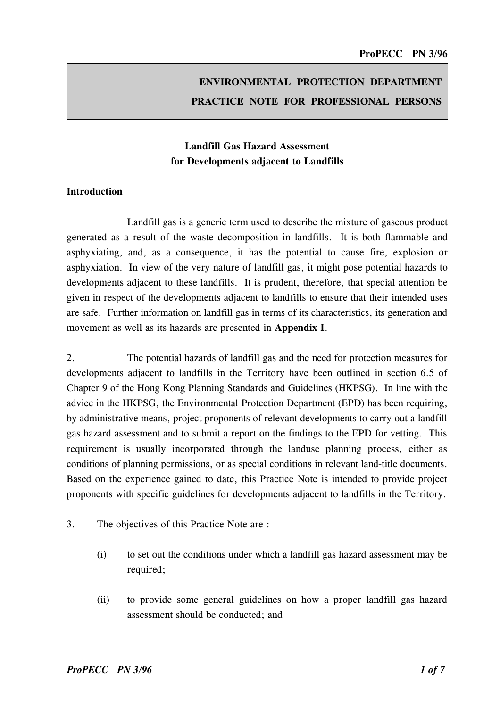# ENVIRONMENTAL PROTECTION DEPARTMENT PRACTICE NOTE FOR PROFESSIONAL PERSONS

# Landfill Gas Hazard Assessment for Developments adjacent to Landfills

#### Introduction

Landfill gas is a generic term used to describe the mixture of gaseous product generated as a result of the waste decomposition in landfills. It is both flammable and asphyxiating, and, as a consequence, it has the potential to cause fire, explosion or asphyxiation. In view of the very nature of landfill gas, it might pose potential hazards to developments adjacent to these landfills. It is prudent, therefore, that special attention be given in respect of the developments adjacent to landfills to ensure that their intended uses are safe. Further information on landfill gas in terms of its characteristics, its generation and movement as well as its hazards are presented in Appendix I.

2. The potential hazards of landfill gas and the need for protection measures for developments adjacent to landfills in the Territory have been outlined in section 6.5 of Chapter 9 of the Hong Kong Planning Standards and Guidelines (HKPSG). In line with the advice in the HKPSG, the Environmental Protection Department (EPD) has been requiring, by administrative means, project proponents of relevant developments to carry out a landfill gas hazard assessment and to submit a report on the findings to the EPD for vetting. This requirement is usually incorporated through the landuse planning process, either as conditions of planning permissions, or as special conditions in relevant land-title documents. Based on the experience gained to date, this Practice Note is intended to provide project proponents with specific guidelines for developments adjacent to landfills in the Territory.

- 3. The objectives of this Practice Note are :
	- (i) to set out the conditions under which a landfill gas hazard assessment may be required;
	- (ii) to provide some general guidelines on how a proper landfill gas hazard assessment should be conducted; and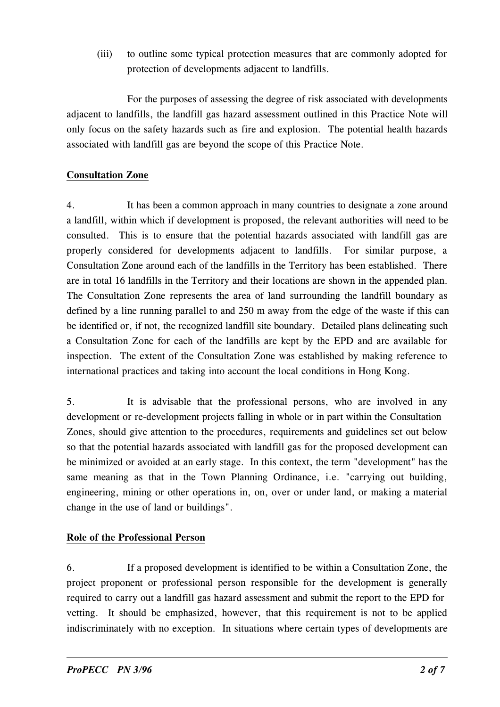(iii) to outline some typical protection measures that are commonly adopted for protection of developments adjacent to landfills.

For the purposes of assessing the degree of risk associated with developments adjacent to landfills, the landfill gas hazard assessment outlined in this Practice Note will only focus on the safety hazards such as fire and explosion. The potential health hazards associated with landfill gas are beyond the scope of this Practice Note.

# Consultation Zone

4. It has been a common approach in many countries to designate a zone around a landfill, within which if development is proposed, the relevant authorities will need to be consulted. This is to ensure that the potential hazards associated with landfill gas are properly considered for developments adjacent to landfills. For similar purpose, a Consultation Zone around each of the landfills in the Territory has been established. There are in total 16 landfills in the Territory and their locations are shown in the appended plan. The Consultation Zone represents the area of land surrounding the landfill boundary as defined by a line running parallel to and 250 m away from the edge of the waste if this can be identified or, if not, the recognized landfill site boundary. Detailed plans delineating such a Consultation Zone for each of the landfills are kept by the EPD and are available for inspection. The extent of the Consultation Zone was established by making reference to international practices and taking into account the local conditions in Hong Kong.

5. It is advisable that the professional persons, who are involved in any development or re-development projects falling in whole or in part within the Consultation Zones, should give attention to the procedures, requirements and guidelines set out below so that the potential hazards associated with landfill gas for the proposed development can be minimized or avoided at an early stage. In this context, the term "development" has the same meaning as that in the Town Planning Ordinance, i.e. "carrying out building, engineering, mining or other operations in, on, over or under land, or making a material change in the use of land or buildings".

# Role of the Professional Person

6. If a proposed development is identified to be within a Consultation Zone, the project proponent or professional person responsible for the development is generally required to carry out a landfill gas hazard assessment and submit the report to the EPD for vetting. It should be emphasized, however, that this requirement is not to be applied indiscriminately with no exception. In situations where certain types of developments are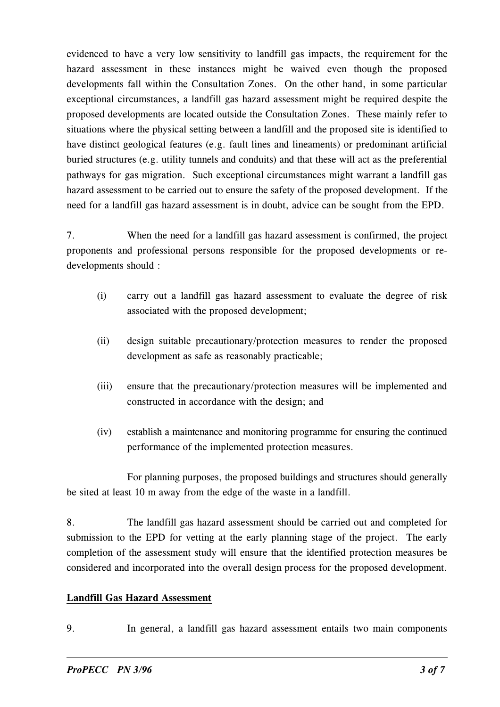evidenced to have a very low sensitivity to landfill gas impacts, the requirement for the hazard assessment in these instances might be waived even though the proposed developments fall within the Consultation Zones. On the other hand, in some particular exceptional circumstances, a landfill gas hazard assessment might be required despite the proposed developments are located outside the Consultation Zones. These mainly refer to situations where the physical setting between a landfill and the proposed site is identified to have distinct geological features (e.g. fault lines and lineaments) or predominant artificial buried structures (e.g. utility tunnels and conduits) and that these will act as the preferential pathways for gas migration. Such exceptional circumstances might warrant a landfill gas hazard assessment to be carried out to ensure the safety of the proposed development. If the need for a landfill gas hazard assessment is in doubt, advice can be sought from the EPD.

7. When the need for a landfill gas hazard assessment is confirmed, the project proponents and professional persons responsible for the proposed developments or redevelopments should :

- (i) carry out a landfill gas hazard assessment to evaluate the degree of risk associated with the proposed development;
- (ii) design suitable precautionary/protection measures to render the proposed development as safe as reasonably practicable;
- (iii) ensure that the precautionary/protection measures will be implemented and constructed in accordance with the design; and
- (iv) establish a maintenance and monitoring programme for ensuring the continued performance of the implemented protection measures.

For planning purposes, the proposed buildings and structures should generally be sited at least 10 m away from the edge of the waste in a landfill.

8. The landfill gas hazard assessment should be carried out and completed for submission to the EPD for vetting at the early planning stage of the project. The early completion of the assessment study will ensure that the identified protection measures be considered and incorporated into the overall design process for the proposed development.

#### Landfill Gas Hazard Assessment

9. In general, a landfill gas hazard assessment entails two main components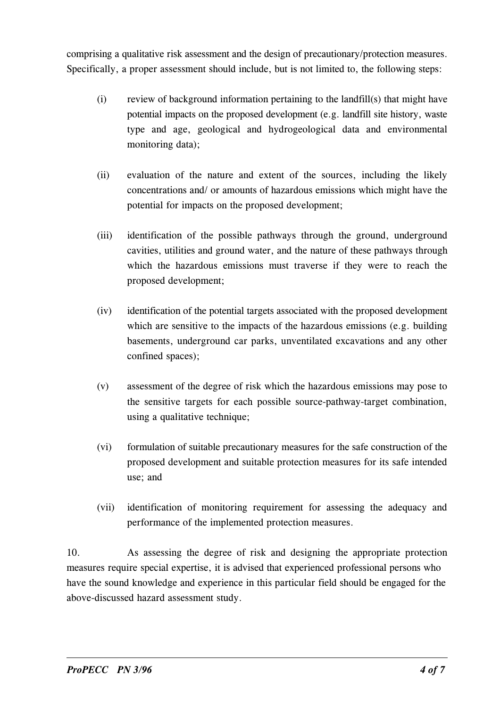comprising a qualitative risk assessment and the design of precautionary/protection measures. Specifically, a proper assessment should include, but is not limited to, the following steps:

- (i) review of background information pertaining to the landfill(s) that might have potential impacts on the proposed development (e.g. landfill site history, waste type and age, geological and hydrogeological data and environmental monitoring data);
- (ii) evaluation of the nature and extent of the sources, including the likely concentrations and/ or amounts of hazardous emissions which might have the potential for impacts on the proposed development;
- (iii) identification of the possible pathways through the ground, underground cavities, utilities and ground water, and the nature of these pathways through which the hazardous emissions must traverse if they were to reach the proposed development;
- (iv) identification of the potential targets associated with the proposed development which are sensitive to the impacts of the hazardous emissions (e.g. building basements, underground car parks, unventilated excavations and any other confined spaces);
- (v) assessment of the degree of risk which the hazardous emissions may pose to the sensitive targets for each possible source-pathway-target combination, using a qualitative technique;
- (vi) formulation of suitable precautionary measures for the safe construction of the proposed development and suitable protection measures for its safe intended use; and
- (vii) identification of monitoring requirement for assessing the adequacy and performance of the implemented protection measures.

10. As assessing the degree of risk and designing the appropriate protection measures require special expertise, it is advised that experienced professional persons who have the sound knowledge and experience in this particular field should be engaged for the above-discussed hazard assessment study.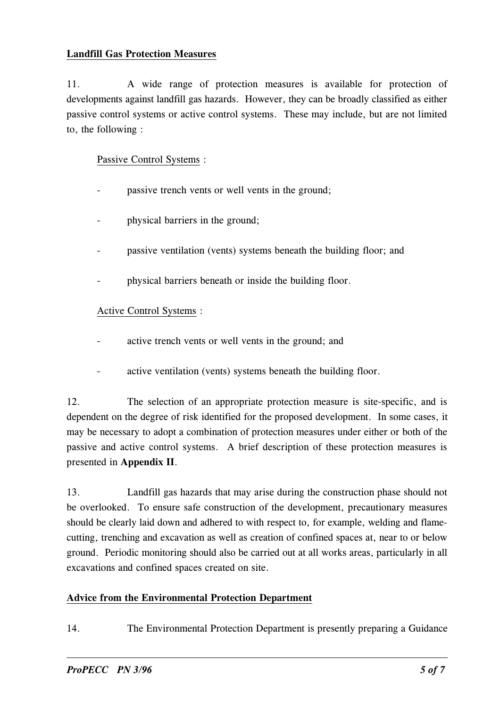#### Landfill Gas Protection Measures

11. A wide range of protection measures is available for protection of developments against landfill gas hazards. However, they can be broadly classified as either passive control systems or active control systems. These may include, but are not limited to, the following :

Passive Control Systems :

- passive trench vents or well vents in the ground;
- physical barriers in the ground; -
- passive ventilation (vents) systems beneath the building floor; and -
- physical barriers beneath or inside the building floor. -

# Active Control Systems :

- active trench vents or well vents in the ground; and
- active ventilation (vents) systems beneath the building floor.

12. The selection of an appropriate protection measure is site-specific, and is dependent on the degree of risk identified for the proposed development. In some cases, it may be necessary to adopt a combination of protection measures under either or both of the passive and active control systems. A brief description of these protection measures is presented in Appendix II.

13. Landfill gas hazards that may arise during the construction phase should not be overlooked. To ensure safe construction of the development, precautionary measures should be clearly laid down and adhered to with respect to, for example, welding and flamecutting, trenching and excavation as well as creation of confined spaces at, near to or below ground. Periodic monitoring should also be carried out at all works areas, particularly in all excavations and confined spaces created on site.

# Advice from the Environmental Protection Department

14. The Environmental Protection Department is presently preparing a Guidance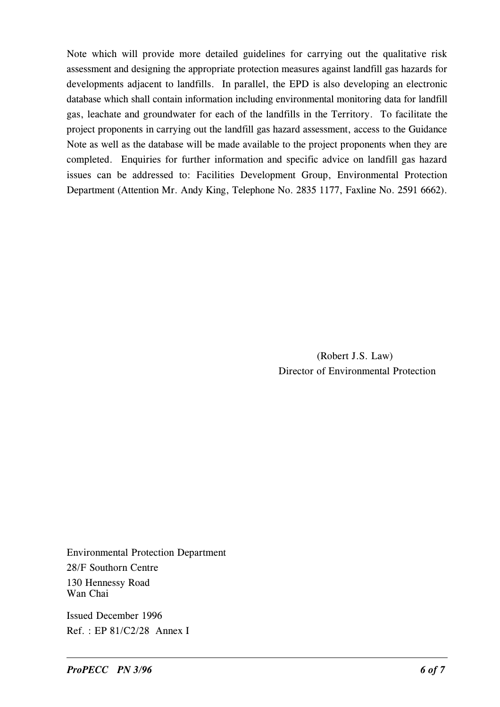Note which will provide more detailed guidelines for carrying out the qualitative risk assessment and designing the appropriate protection measures against landfill gas hazards for developments adjacent to landfills. In parallel, the EPD is also developing an electronic database which shall contain information including environmental monitoring data for landfill gas, leachate and groundwater for each of the landfills in the Territory. To facilitate the project proponents in carrying out the landfill gas hazard assessment, access to the Guidance Note as well as the database will be made available to the project proponents when they are completed. Enquiries for further information and specific advice on landfill gas hazard issues can be addressed to: Facilities Development Group, Environmental Protection Department (Attention Mr. Andy King, Telephone No. 2835 1177, Faxline No. 2591 6662).

> (Robert J.S. Law) Director of Environmental Protection

Environmental Protection Department 28/F Southorn Centre 130 Hennessy Road Wan Chai

Issued December 1996 Ref. : EP 81/C2/28 Annex I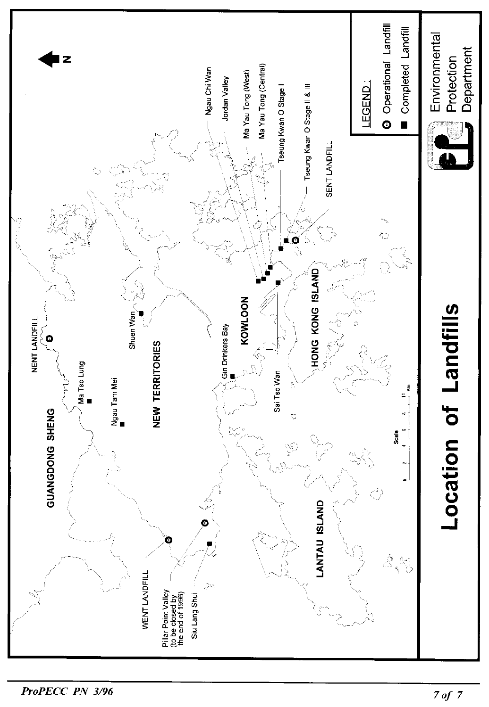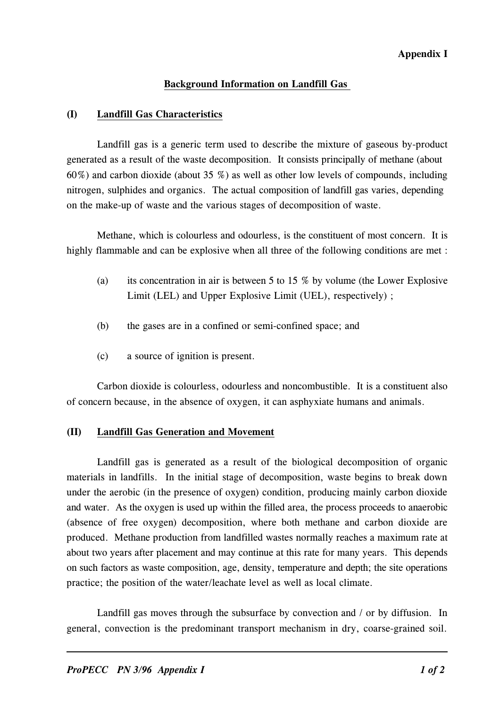#### Appendix I

### Back�round Information on Landfill Gas

#### (I) Landfill Gas Characteristics

 generated as a result of the waste decomposition. It consists principally of methane (about Landfill gas is a generic term used to describe the mixture of gaseous by-product 60%) and carbon dioxide (about 35 %) as well as other low levels of compounds, including nitrogen, sulphides and organics. The actual composition of landfill gas varies, depending on the make-up of waste and the various stages of decomposition of waste.

Methane, which is colourless and odourless, is the constituent of most concern. It is highly flammable and can be explosive when all three of the following conditions are met :

- (a) its concentration in air is between 5 to 15  $%$  by volume (the Lower Explosive Limit (LEL) and Upper Explosive Limit (UEL), respectively) ;
- (b) the gases are in a confined or semi-confined space; and
- (c) a source of ignition is present.

 Carbon dioxide is colourless, odourless and noncombustible. It is a constituent also of concern because, in the absence of oxygen, it can asphyxiate humans and animals.

# (II) Landfill Gas Generation and Movement

Landfill gas is generated as a result of the biological decomposition of organic materials in landfills. In the initial stage of decomposition, waste begins to break down under the aerobic (in the presence of oxygen) condition, producing mainly carbon dioxide and water. As the oxygen is used up within the filled area, the process proceeds to anaerobic (absence of free oxygen) decomposition, where both methane and carbon dioxide are produced. Methane production from landfilled wastes normally reaches a maximum rate at about two years after placement and may continue at this rate for many years. This depends on such factors as waste composition, age, density, temperature and depth; the site operations practice; the position of the water/leachate level as well as local climate.

Landfill gas moves through the subsurface by convection and / or by diffusion. In general, convection is the predominant transport mechanism in dry, coarse-grained soil.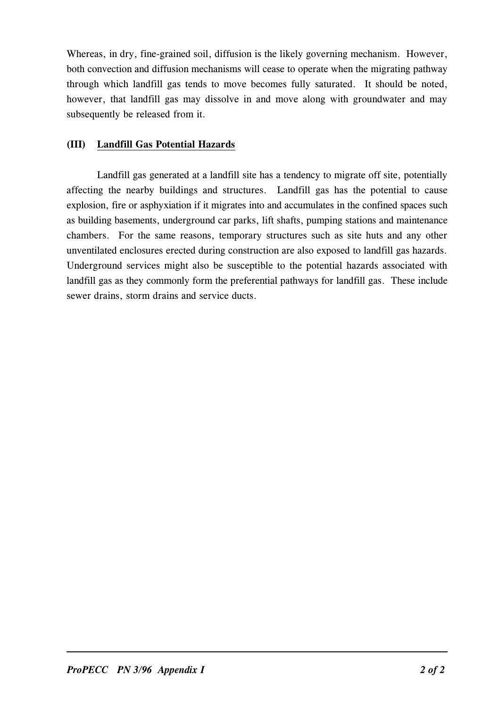Whereas, in dry, fine-grained soil, diffusion is the likely governing mechanism. However, both convection and diffusion mechanisms will cease to operate when the migrating pathway through which landfill gas tends to move becomes fully saturated. It should be noted, however, that landfill gas may dissolve in and move along with groundwater and may subsequently be released from it.

# (III) Landfill Gas Potential Hazards

Landfill gas generated at a landfill site has a tendency to migrate off site, potentially affecting the nearby buildings and structures. Landfill gas has the potential to cause explosion, fire or asphyxiation if it migrates into and accumulates in the confined spaces such as building basements, underground car parks, lift shafts, pumping stations and maintenance chambers. For the same reasons, temporary structures such as site huts and any other unventilated enclosures erected during construction are also exposed to landfill gas hazards. Underground services might also be susceptible to the potential hazards associated with landfill gas as they commonly form the preferential pathways for landfill gas. These include sewer drains, storm drains and service ducts.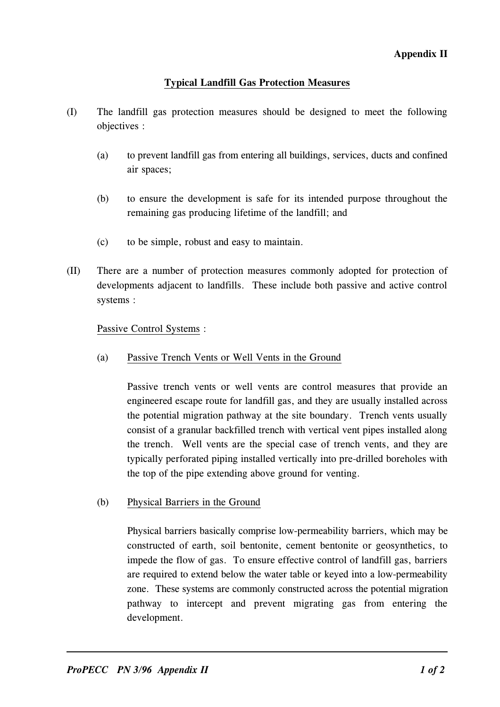# T�pical Landfill Gas Protection Measures

- (I) The landfill gas protection measures should be designed to meet the following objectives :
	- (a) to prevent landfill gas from entering all buildings, services, ducts and confined air spaces;
	- (b) to ensure the development is safe for its intended purpose throughout the remaining gas producing lifetime of the landfill; and
	- (c) to be simple, robust and easy to maintain.
- (II) There are a number of protection measures commonly adopted for protection of developments adjacent to landfills. These include both passive and active control systems :

#### Passive Control Systems :

(a) Passive Trench �ents or Well �ents in the Ground

Passive trench vents or well vents are control measures that provide an engineered escape route for landfill gas, and they are usually installed across the potential migration pathway at the site boundary. Trench vents usually consist of a granular backfilled trench with vertical vent pipes installed along the trench. Well vents are the special case of trench vents, and they are typically perforated piping installed vertically into pre-drilled boreholes with the top of the pipe extending above ground for venting.

(b) Physical Barriers in the Ground

Physical barriers basically comprise low-permeability barriers, which may be constructed of earth, soil bentonite, cement bentonite or geosynthetics, to impede the flow of gas. To ensure effective control of landfill gas, barriers are required to extend below the water table or keyed into a low-permeability zone. These systems are commonly constructed across the potential migration pathway to intercept and prevent migrating gas from entering the development.